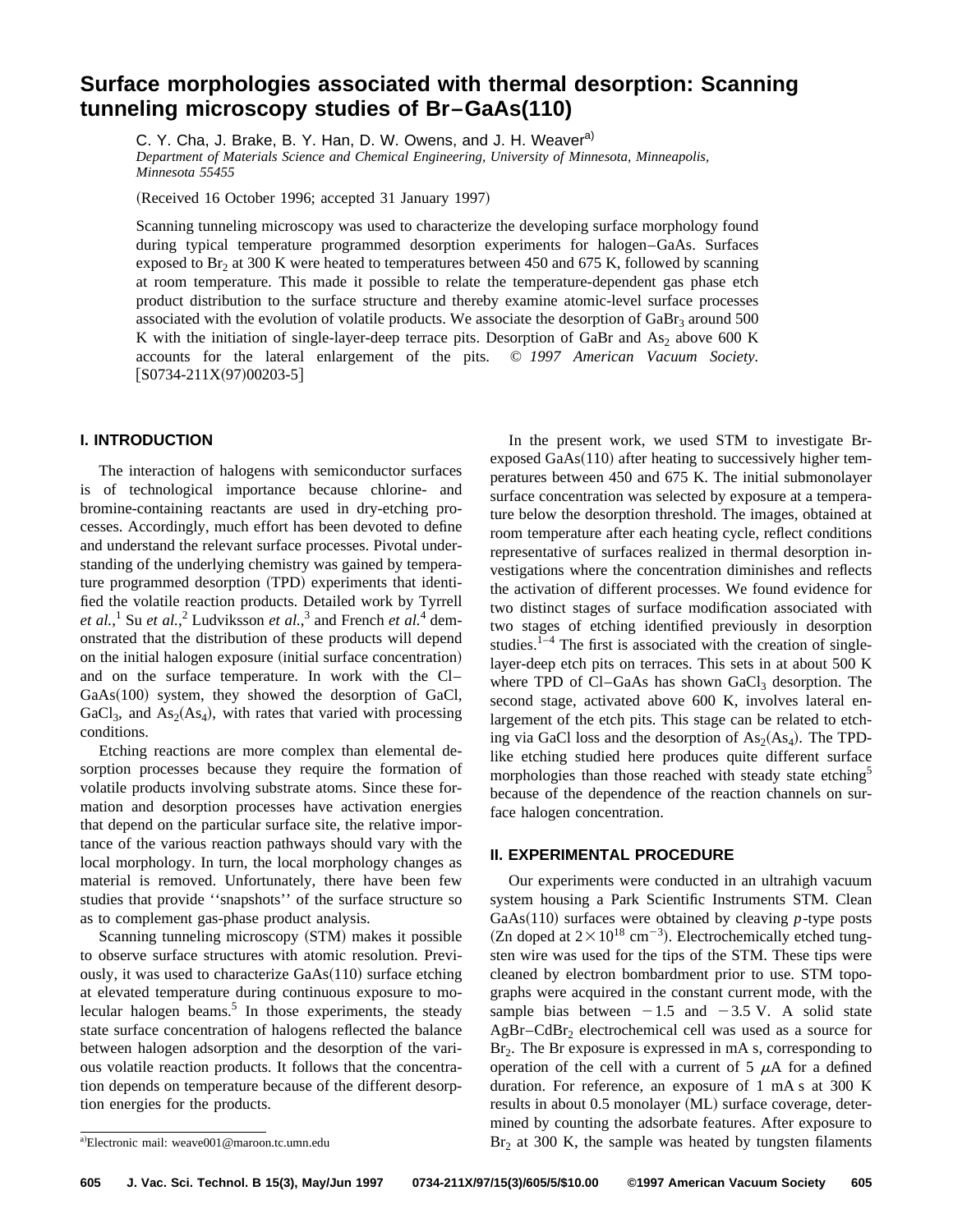# **Surface morphologies associated with thermal desorption: Scanning tunneling microscopy studies of Br–GaAs(110)**

C. Y. Cha, J. Brake, B. Y. Han, D. W. Owens, and J. H. Weaver<sup>a)</sup> *Department of Materials Science and Chemical Engineering, University of Minnesota, Minneapolis, Minnesota 55455*

(Received 16 October 1996; accepted 31 January 1997)

Scanning tunneling microscopy was used to characterize the developing surface morphology found during typical temperature programmed desorption experiments for halogen–GaAs. Surfaces exposed to  $Br<sub>2</sub>$  at 300 K were heated to temperatures between 450 and 675 K, followed by scanning at room temperature. This made it possible to relate the temperature-dependent gas phase etch product distribution to the surface structure and thereby examine atomic-level surface processes associated with the evolution of volatile products. We associate the desorption of  $GaBr<sub>3</sub>$  around 500 K with the initiation of single-layer-deep terrace pits. Desorption of GaBr and  $As_2$  above 600 K accounts for the lateral enlargement of the pits. © *1997 American Vacuum Society.*  $[$ S0734-211X(97)00203-5]

# **I. INTRODUCTION**

The interaction of halogens with semiconductor surfaces is of technological importance because chlorine- and bromine-containing reactants are used in dry-etching processes. Accordingly, much effort has been devoted to define and understand the relevant surface processes. Pivotal understanding of the underlying chemistry was gained by temperature programmed desorption (TPD) experiments that identified the volatile reaction products. Detailed work by Tyrrell *et al.*,<sup>1</sup> Su *et al.*,<sup>2</sup> Ludviksson *et al.*,<sup>3</sup> and French *et al.*<sup>4</sup> demonstrated that the distribution of these products will depend on the initial halogen exposure (initial surface concentration) and on the surface temperature. In work with the Cl–  $GaAs(100)$  system, they showed the desorption of GaCl,  $GaCl<sub>3</sub>$ , and  $As<sub>2</sub>(As<sub>4</sub>)$ , with rates that varied with processing conditions.

Etching reactions are more complex than elemental desorption processes because they require the formation of volatile products involving substrate atoms. Since these formation and desorption processes have activation energies that depend on the particular surface site, the relative importance of the various reaction pathways should vary with the local morphology. In turn, the local morphology changes as material is removed. Unfortunately, there have been few studies that provide ''snapshots'' of the surface structure so as to complement gas-phase product analysis.

Scanning tunneling microscopy (STM) makes it possible to observe surface structures with atomic resolution. Previously, it was used to characterize  $GaAs(110)$  surface etching at elevated temperature during continuous exposure to molecular halogen beams. $5$  In those experiments, the steady state surface concentration of halogens reflected the balance between halogen adsorption and the desorption of the various volatile reaction products. It follows that the concentration depends on temperature because of the different desorption energies for the products.

In the present work, we used STM to investigate Brexposed  $GaAs(110)$  after heating to successively higher temperatures between 450 and 675 K. The initial submonolayer surface concentration was selected by exposure at a temperature below the desorption threshold. The images, obtained at room temperature after each heating cycle, reflect conditions representative of surfaces realized in thermal desorption investigations where the concentration diminishes and reflects the activation of different processes. We found evidence for two distinct stages of surface modification associated with two stages of etching identified previously in desorption studies. $1-4$  The first is associated with the creation of singlelayer-deep etch pits on terraces. This sets in at about 500 K where TPD of Cl–GaAs has shown  $GaCl<sub>3</sub>$  desorption. The second stage, activated above 600 K, involves lateral enlargement of the etch pits. This stage can be related to etching via GaCl loss and the desorption of  $As<sub>2</sub>(As<sub>4</sub>)$ . The TPDlike etching studied here produces quite different surface morphologies than those reached with steady state etching<sup>5</sup> because of the dependence of the reaction channels on surface halogen concentration.

## **II. EXPERIMENTAL PROCEDURE**

Our experiments were conducted in an ultrahigh vacuum system housing a Park Scientific Instruments STM. Clean GaAs $(110)$  surfaces were obtained by cleaving *p*-type posts (Zn doped at  $2 \times 10^{18}$  cm<sup>-3</sup>). Electrochemically etched tungsten wire was used for the tips of the STM. These tips were cleaned by electron bombardment prior to use. STM topographs were acquired in the constant current mode, with the sample bias between  $-1.5$  and  $-3.5$  V. A solid state  $AgBr-CdBr<sub>2</sub>$  electrochemical cell was used as a source for  $Br<sub>2</sub>$ . The Br exposure is expressed in mA s, corresponding to operation of the cell with a current of  $5 \mu A$  for a defined duration. For reference, an exposure of 1 mA s at 300 K results in about 0.5 monolayer (ML) surface coverage, determined by counting the adsorbate features. After exposure to  $Br<sub>2</sub>$  at 300 K, the sample was heated by tungsten filaments

<sup>&</sup>lt;sup>a)</sup>Electronic mail: weave001@maroon.tc.umn.edu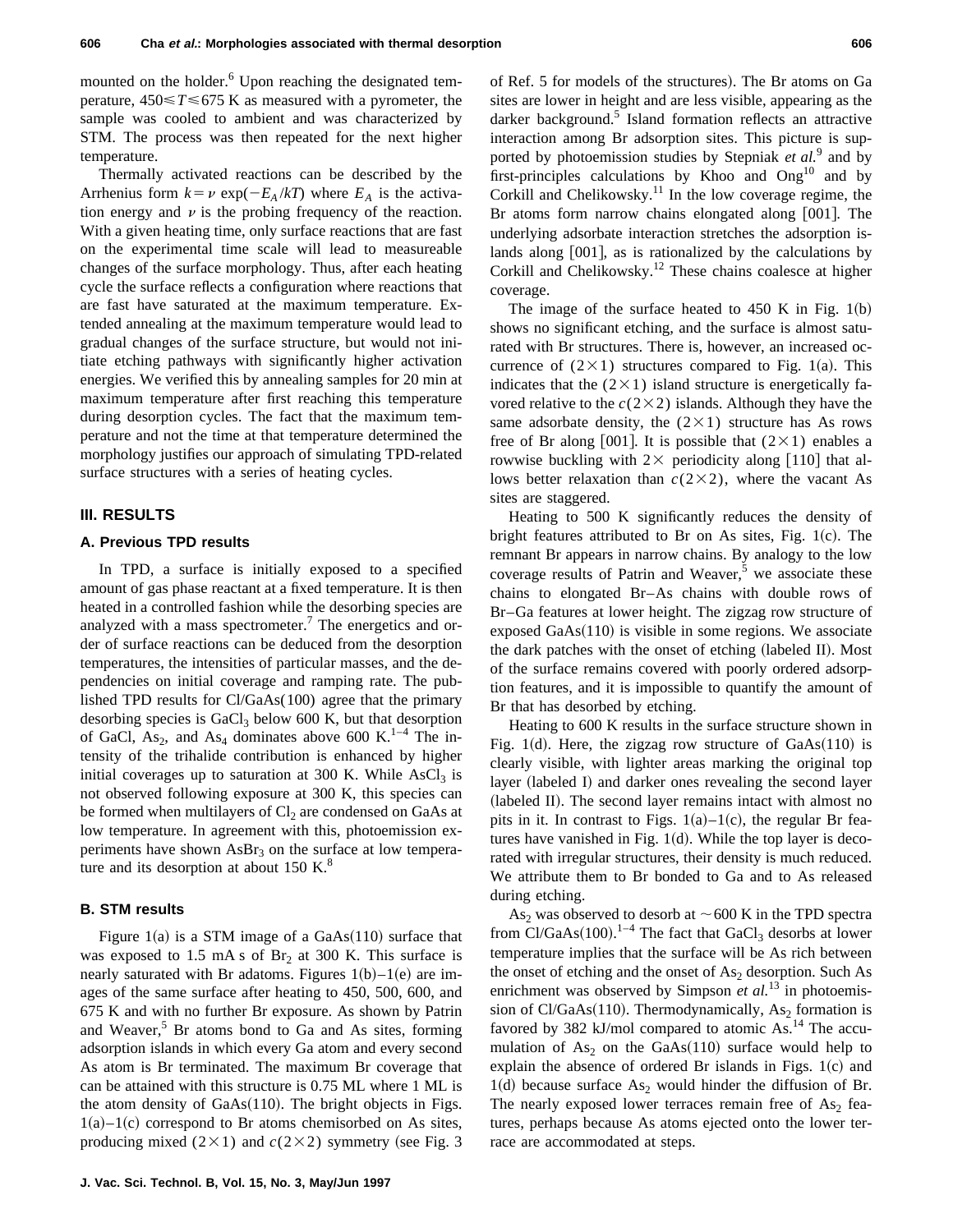mounted on the holder.<sup>6</sup> Upon reaching the designated temperature,  $450 \le T \le 675$  K as measured with a pyrometer, the sample was cooled to ambient and was characterized by STM. The process was then repeated for the next higher temperature.

Thermally activated reactions can be described by the Arrhenius form  $k = \nu \exp(-E_A/kT)$  where  $E_A$  is the activation energy and  $\nu$  is the probing frequency of the reaction. With a given heating time, only surface reactions that are fast on the experimental time scale will lead to measureable changes of the surface morphology. Thus, after each heating cycle the surface reflects a configuration where reactions that are fast have saturated at the maximum temperature. Extended annealing at the maximum temperature would lead to gradual changes of the surface structure, but would not initiate etching pathways with significantly higher activation energies. We verified this by annealing samples for 20 min at maximum temperature after first reaching this temperature during desorption cycles. The fact that the maximum temperature and not the time at that temperature determined the morphology justifies our approach of simulating TPD-related surface structures with a series of heating cycles.

## **III. RESULTS**

#### **A. Previous TPD results**

In TPD, a surface is initially exposed to a specified amount of gas phase reactant at a fixed temperature. It is then heated in a controlled fashion while the desorbing species are analyzed with a mass spectrometer.<sup>7</sup> The energetics and order of surface reactions can be deduced from the desorption temperatures, the intensities of particular masses, and the dependencies on initial coverage and ramping rate. The published TPD results for Cl/GaAs(100) agree that the primary desorbing species is  $GaCl<sub>3</sub>$  below 600 K, but that desorption of GaCl, As<sub>2</sub>, and As<sub>4</sub> dominates above 600 K.<sup>1-4</sup> The intensity of the trihalide contribution is enhanced by higher initial coverages up to saturation at 300 K. While  $AsCl<sub>3</sub>$  is not observed following exposure at 300 K, this species can be formed when multilayers of  $Cl<sub>2</sub>$  are condensed on GaAs at low temperature. In agreement with this, photoemission experiments have shown  $\text{AsBr}_3$  on the surface at low temperature and its desorption at about  $150 \text{ K}$ .<sup>8</sup>

#### **B. STM results**

Figure 1(a) is a STM image of a  $GaAs(110)$  surface that was exposed to 1.5 mA s of  $Br<sub>2</sub>$  at 300 K. This surface is nearly saturated with Br adatoms. Figures  $1(b)-1(e)$  are images of the same surface after heating to 450, 500, 600, and 675 K and with no further Br exposure. As shown by Patrin and Weaver, $5$  Br atoms bond to Ga and As sites, forming adsorption islands in which every Ga atom and every second As atom is Br terminated. The maximum Br coverage that can be attained with this structure is 0.75 ML where 1 ML is the atom density of  $GaAs(110)$ . The bright objects in Figs.  $1(a)$ – $1(c)$  correspond to Br atoms chemisorbed on As sites, producing mixed  $(2\times1)$  and  $c(2\times2)$  symmetry (see Fig. 3) of Ref. 5 for models of the structures). The Br atoms on Ga sites are lower in height and are less visible, appearing as the darker background.<sup>5</sup> Island formation reflects an attractive interaction among Br adsorption sites. This picture is supported by photoemission studies by Stepniak *et al.*<sup>9</sup> and by first-principles calculations by Khoo and  $Ong<sup>10</sup>$  and by Corkill and Chelikowsky. $11$  In the low coverage regime, the Br atoms form narrow chains elongated along  $[001]$ . The underlying adsorbate interaction stretches the adsorption islands along  $[001]$ , as is rationalized by the calculations by Corkill and Chelikowsky.12 These chains coalesce at higher coverage.

The image of the surface heated to  $450$  K in Fig. 1(b) shows no significant etching, and the surface is almost saturated with Br structures. There is, however, an increased occurrence of  $(2\times1)$  structures compared to Fig. 1(a). This indicates that the  $(2\times1)$  island structure is energetically favored relative to the  $c(2\times2)$  islands. Although they have the same adsorbate density, the  $(2\times1)$  structure has As rows free of Br along [001]. It is possible that  $(2\times1)$  enables a rowwise buckling with  $2 \times$  periodicity along [110] that allows better relaxation than  $c(2\times2)$ , where the vacant As sites are staggered.

Heating to 500 K significantly reduces the density of bright features attributed to Br on As sites, Fig.  $1(c)$ . The remnant Br appears in narrow chains. By analogy to the low coverage results of Patrin and Weaver, $5$  we associate these chains to elongated Br–As chains with double rows of Br–Ga features at lower height. The zigzag row structure of exposed  $GaAs(110)$  is visible in some regions. We associate the dark patches with the onset of etching (labeled II). Most of the surface remains covered with poorly ordered adsorption features, and it is impossible to quantify the amount of Br that has desorbed by etching.

Heating to 600 K results in the surface structure shown in Fig. 1(d). Here, the zigzag row structure of  $GaAs(110)$  is clearly visible, with lighter areas marking the original top layer (labeled I) and darker ones revealing the second layer (labeled II). The second layer remains intact with almost no pits in it. In contrast to Figs.  $1(a)$ – $1(c)$ , the regular Br features have vanished in Fig.  $1(d)$ . While the top layer is decorated with irregular structures, their density is much reduced. We attribute them to Br bonded to Ga and to As released during etching.

As<sub>2</sub> was observed to desorb at  $\sim$  600 K in the TPD spectra from Cl/GaAs $(100)$ .<sup>1-4</sup> The fact that GaCl<sub>3</sub> desorbs at lower temperature implies that the surface will be As rich between the onset of etching and the onset of  $As<sub>2</sub>$  desorption. Such As enrichment was observed by Simpson *et al.*<sup>13</sup> in photoemission of Cl/GaAs $(110)$ . Thermodynamically, As<sub>2</sub> formation is favored by 382 kJ/mol compared to atomic  $\text{As.}^{14}$  The accumulation of  $As<sub>2</sub>$  on the GaAs(110) surface would help to explain the absence of ordered Br islands in Figs.  $1(c)$  and 1(d) because surface  $As_2$  would hinder the diffusion of Br. The nearly exposed lower terraces remain free of  $As<sub>2</sub>$  features, perhaps because As atoms ejected onto the lower terrace are accommodated at steps.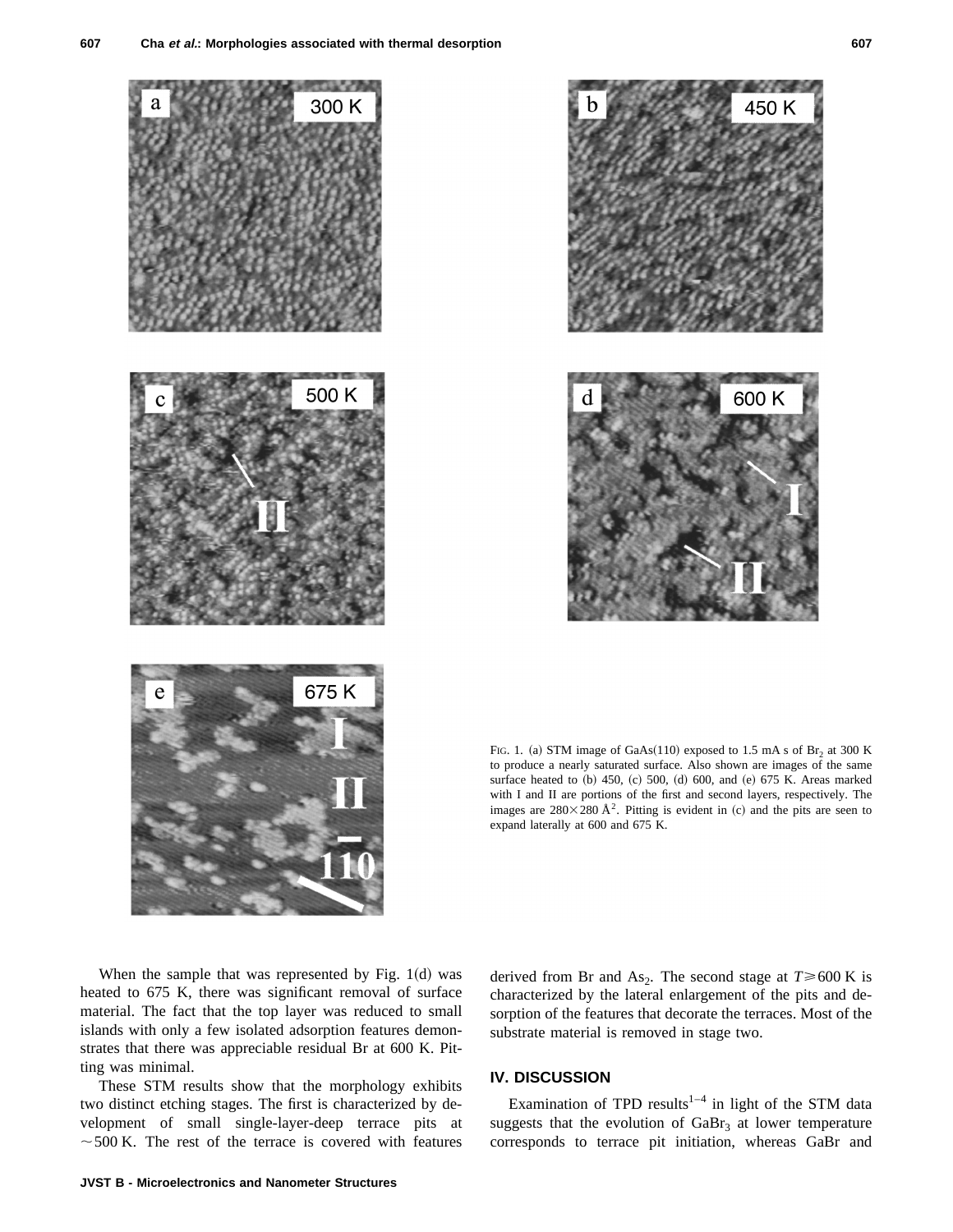



FIG. 1. (a) STM image of GaAs(110) exposed to 1.5 mA s of Br<sub>2</sub> at 300 K to produce a nearly saturated surface. Also shown are images of the same surface heated to (b) 450, (c) 500, (d) 600, and (e) 675 K. Areas marked with I and II are portions of the first and second layers, respectively. The images are  $280\times280$  Å<sup>2</sup>. Pitting is evident in (c) and the pits are seen to expand laterally at 600 and 675 K.

When the sample that was represented by Fig.  $1(d)$  was heated to 675 K, there was significant removal of surface material. The fact that the top layer was reduced to small islands with only a few isolated adsorption features demonstrates that there was appreciable residual Br at 600 K. Pitting was minimal.

These STM results show that the morphology exhibits two distinct etching stages. The first is characterized by development of small single-layer-deep terrace pits at  $\sim$  500 K. The rest of the terrace is covered with features derived from Br and As<sub>2</sub>. The second stage at  $T \ge 600$  K is characterized by the lateral enlargement of the pits and desorption of the features that decorate the terraces. Most of the substrate material is removed in stage two.

# **IV. DISCUSSION**

Examination of TPD results<sup>1-4</sup> in light of the STM data suggests that the evolution of  $GaBr<sub>3</sub>$  at lower temperature corresponds to terrace pit initiation, whereas GaBr and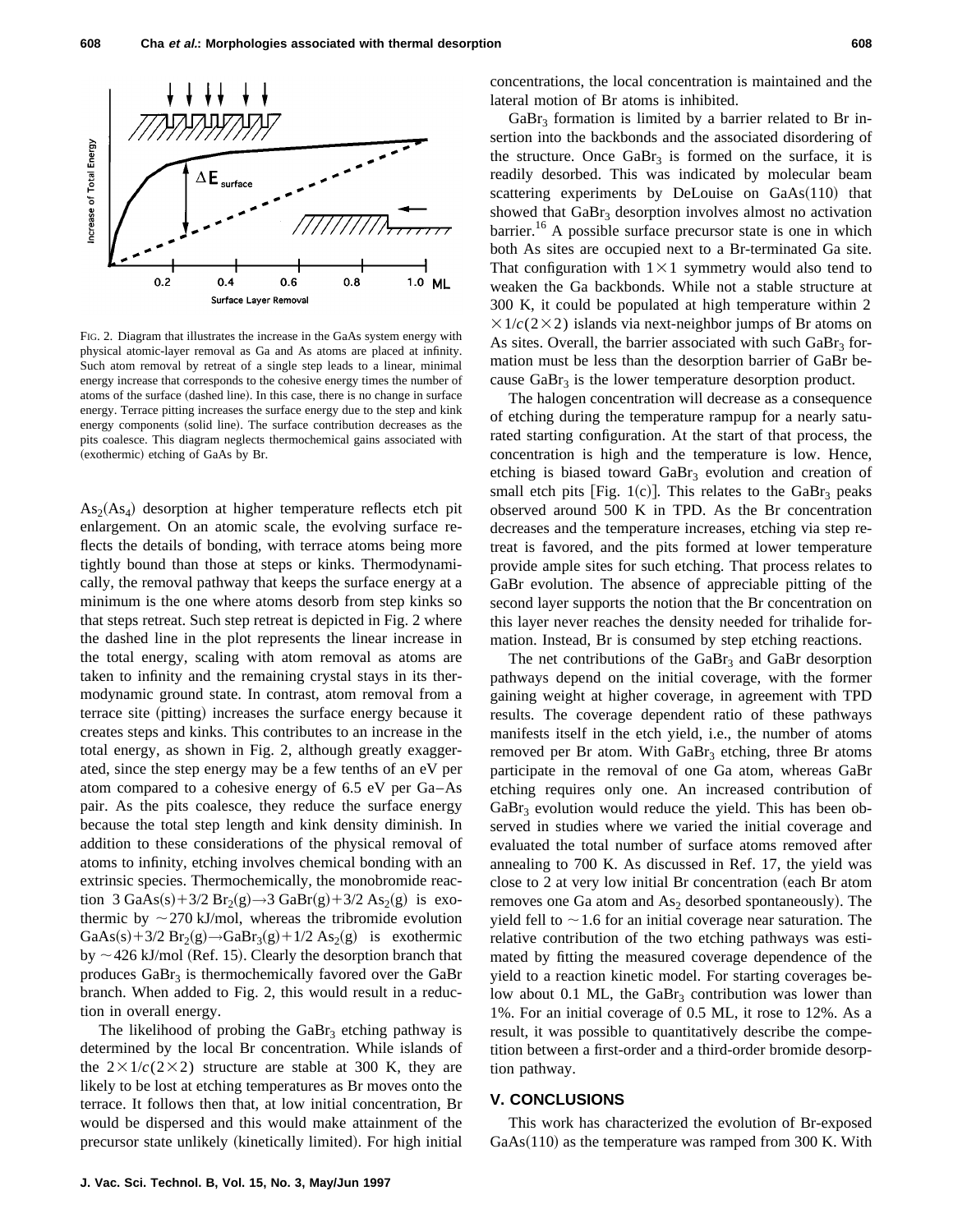

FIG. 2. Diagram that illustrates the increase in the GaAs system energy with physical atomic-layer removal as Ga and As atoms are placed at infinity. Such atom removal by retreat of a single step leads to a linear, minimal energy increase that corresponds to the cohesive energy times the number of atoms of the surface (dashed line). In this case, there is no change in surface energy. Terrace pitting increases the surface energy due to the step and kink energy components (solid line). The surface contribution decreases as the pits coalesce. This diagram neglects thermochemical gains associated with (exothermic) etching of GaAs by Br.

 $As<sub>2</sub>(As<sub>4</sub>)$  desorption at higher temperature reflects etch pit enlargement. On an atomic scale, the evolving surface reflects the details of bonding, with terrace atoms being more tightly bound than those at steps or kinks. Thermodynamically, the removal pathway that keeps the surface energy at a minimum is the one where atoms desorb from step kinks so that steps retreat. Such step retreat is depicted in Fig. 2 where the dashed line in the plot represents the linear increase in the total energy, scaling with atom removal as atoms are taken to infinity and the remaining crystal stays in its thermodynamic ground state. In contrast, atom removal from a terrace site (pitting) increases the surface energy because it creates steps and kinks. This contributes to an increase in the total energy, as shown in Fig. 2, although greatly exaggerated, since the step energy may be a few tenths of an eV per atom compared to a cohesive energy of 6.5 eV per Ga–As pair. As the pits coalesce, they reduce the surface energy because the total step length and kink density diminish. In addition to these considerations of the physical removal of atoms to infinity, etching involves chemical bonding with an extrinsic species. Thermochemically, the monobromide reaction 3 GaAs(s)+3/2 Br<sub>2</sub>(g)→3 GaBr(g)+3/2 As<sub>2</sub>(g) is exothermic by  $\sim$  270 kJ/mol, whereas the tribromide evolution  $GaAs(s) + 3/2 Br<sub>2</sub>(g) \rightarrow GaBr<sub>3</sub>(g) + 1/2 As<sub>2</sub>(g)$  is exothermic by  $\sim$  426 kJ/mol (Ref. 15). Clearly the desorption branch that produces  $GaBr<sub>3</sub>$  is thermochemically favored over the  $GaBr$ branch. When added to Fig. 2, this would result in a reduction in overall energy.

The likelihood of probing the  $GaBr_3$  etching pathway is determined by the local Br concentration. While islands of the  $2 \times 1/c(2 \times 2)$  structure are stable at 300 K, they are likely to be lost at etching temperatures as Br moves onto the terrace. It follows then that, at low initial concentration, Br would be dispersed and this would make attainment of the precursor state unlikely (kinetically limited). For high initial concentrations, the local concentration is maintained and the lateral motion of Br atoms is inhibited.

 $GaBr<sub>3</sub>$  formation is limited by a barrier related to Br insertion into the backbonds and the associated disordering of the structure. Once  $GaBr<sub>3</sub>$  is formed on the surface, it is readily desorbed. This was indicated by molecular beam scattering experiments by DeLouise on  $GaAs(110)$  that showed that  $GaBr<sub>3</sub>$  desorption involves almost no activation barrier.<sup>16</sup> A possible surface precursor state is one in which both As sites are occupied next to a Br-terminated Ga site. That configuration with  $1\times1$  symmetry would also tend to weaken the Ga backbonds. While not a stable structure at 300 K, it could be populated at high temperature within 2  $\times$ 1/*c*(2×2) islands via next-neighbor jumps of Br atoms on As sites. Overall, the barrier associated with such  $GaBr<sub>3</sub>$  formation must be less than the desorption barrier of GaBr because  $GaBr<sub>3</sub>$  is the lower temperature desorption product.

The halogen concentration will decrease as a consequence of etching during the temperature rampup for a nearly saturated starting configuration. At the start of that process, the concentration is high and the temperature is low. Hence, etching is biased toward  $GaBr<sub>3</sub>$  evolution and creation of small etch pits  $|Fig. 1(c)|$ . This relates to the GaBr<sub>3</sub> peaks observed around 500 K in TPD. As the Br concentration decreases and the temperature increases, etching via step retreat is favored, and the pits formed at lower temperature provide ample sites for such etching. That process relates to GaBr evolution. The absence of appreciable pitting of the second layer supports the notion that the Br concentration on this layer never reaches the density needed for trihalide formation. Instead, Br is consumed by step etching reactions.

The net contributions of the  $GaBr<sub>3</sub>$  and  $GaBr$  desorption pathways depend on the initial coverage, with the former gaining weight at higher coverage, in agreement with TPD results. The coverage dependent ratio of these pathways manifests itself in the etch yield, i.e., the number of atoms removed per Br atom. With  $GaBr<sub>3</sub>$  etching, three Br atoms participate in the removal of one Ga atom, whereas GaBr etching requires only one. An increased contribution of  $GaBr<sub>3</sub>$  evolution would reduce the yield. This has been observed in studies where we varied the initial coverage and evaluated the total number of surface atoms removed after annealing to 700 K. As discussed in Ref. 17, the yield was close to 2 at very low initial Br concentration (each Br atom removes one Ga atom and  $As<sub>2</sub>$  desorbed spontaneously). The yield fell to  $\sim$  1.6 for an initial coverage near saturation. The relative contribution of the two etching pathways was estimated by fitting the measured coverage dependence of the yield to a reaction kinetic model. For starting coverages below about 0.1 ML, the GaBr<sub>3</sub> contribution was lower than 1%. For an initial coverage of 0.5 ML, it rose to 12%. As a result, it was possible to quantitatively describe the competition between a first-order and a third-order bromide desorption pathway.

#### **V. CONCLUSIONS**

This work has characterized the evolution of Br-exposed  $GaAs(110)$  as the temperature was ramped from 300 K. With